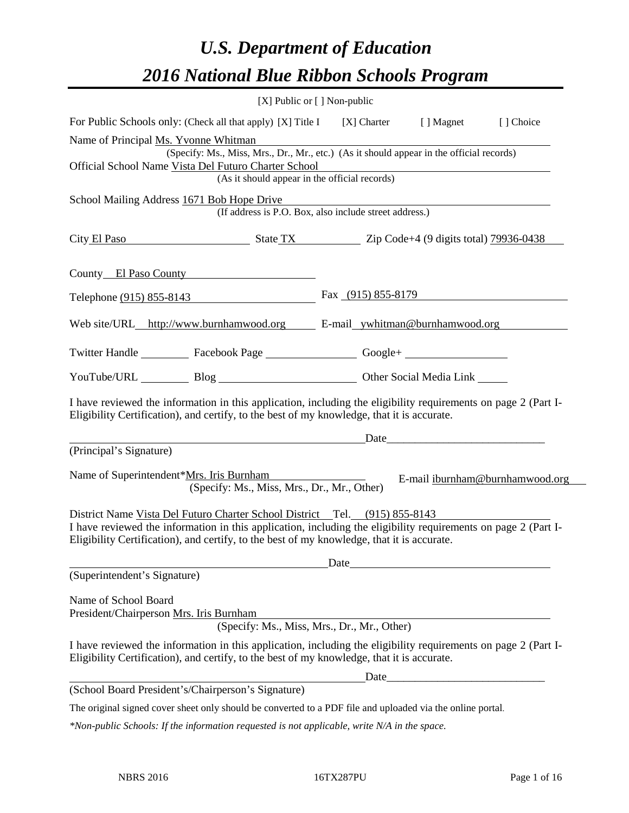# *U.S. Department of Education 2016 National Blue Ribbon Schools Program*

|                                                                                                                                                                                                              | [X] Public or [] Non-public                                                              |                                                                                                                                                                                                                               |                                                                                                                                                                                                                               |                                 |
|--------------------------------------------------------------------------------------------------------------------------------------------------------------------------------------------------------------|------------------------------------------------------------------------------------------|-------------------------------------------------------------------------------------------------------------------------------------------------------------------------------------------------------------------------------|-------------------------------------------------------------------------------------------------------------------------------------------------------------------------------------------------------------------------------|---------------------------------|
| For Public Schools only: (Check all that apply) [X] Title I [X] Charter                                                                                                                                      |                                                                                          |                                                                                                                                                                                                                               | [ ] Magnet                                                                                                                                                                                                                    | [] Choice                       |
| Name of Principal Ms. Yvonne Whitman                                                                                                                                                                         |                                                                                          |                                                                                                                                                                                                                               |                                                                                                                                                                                                                               |                                 |
|                                                                                                                                                                                                              | (Specify: Ms., Miss, Mrs., Dr., Mr., etc.) (As it should appear in the official records) |                                                                                                                                                                                                                               |                                                                                                                                                                                                                               |                                 |
| Official School Name Vista Del Futuro Charter School                                                                                                                                                         |                                                                                          |                                                                                                                                                                                                                               |                                                                                                                                                                                                                               |                                 |
|                                                                                                                                                                                                              | (As it should appear in the official records)                                            |                                                                                                                                                                                                                               |                                                                                                                                                                                                                               |                                 |
| School Mailing Address 1671 Bob Hope Drive                                                                                                                                                                   | (If address is P.O. Box, also include street address.)                                   |                                                                                                                                                                                                                               |                                                                                                                                                                                                                               |                                 |
| City El Paso State TX Zip Code+4 (9 digits total) 79936-0438                                                                                                                                                 |                                                                                          |                                                                                                                                                                                                                               |                                                                                                                                                                                                                               |                                 |
| County El Paso County                                                                                                                                                                                        |                                                                                          |                                                                                                                                                                                                                               |                                                                                                                                                                                                                               |                                 |
| Telephone (915) 855-8143 Fax (915) 855-8179                                                                                                                                                                  |                                                                                          |                                                                                                                                                                                                                               |                                                                                                                                                                                                                               |                                 |
| Web site/URL_http://www.burnhamwood.org E-mail_ywhitman@burnhamwood.org                                                                                                                                      |                                                                                          |                                                                                                                                                                                                                               |                                                                                                                                                                                                                               |                                 |
| Twitter Handle ___________ Facebook Page __________________ Google+ ____________                                                                                                                             |                                                                                          |                                                                                                                                                                                                                               |                                                                                                                                                                                                                               |                                 |
| YouTube/URL Blog Blog Cher Social Media Link                                                                                                                                                                 |                                                                                          |                                                                                                                                                                                                                               |                                                                                                                                                                                                                               |                                 |
| I have reviewed the information in this application, including the eligibility requirements on page 2 (Part I-<br>Eligibility Certification), and certify, to the best of my knowledge, that it is accurate. |                                                                                          |                                                                                                                                                                                                                               |                                                                                                                                                                                                                               |                                 |
|                                                                                                                                                                                                              |                                                                                          |                                                                                                                                                                                                                               | Date and the same state of the same state of the same state of the same state of the same state of the same state of the same state of the same state of the same state of the same state of the same state of the same state |                                 |
| (Principal's Signature)                                                                                                                                                                                      |                                                                                          |                                                                                                                                                                                                                               |                                                                                                                                                                                                                               |                                 |
| Name of Superintendent*Mrs. Iris Burnham                                                                                                                                                                     | (Specify: Ms., Miss, Mrs., Dr., Mr., Other)                                              |                                                                                                                                                                                                                               |                                                                                                                                                                                                                               | E-mail iburnham@burnhamwood.org |
| District Name Vista Del Futuro Charter School District Tel. (915) 855-8143                                                                                                                                   |                                                                                          |                                                                                                                                                                                                                               |                                                                                                                                                                                                                               |                                 |
| I have reviewed the information in this application, including the eligibility requirements on page 2 (Part I-<br>Eligibility Certification), and certify, to the best of my knowledge, that it is accurate. |                                                                                          |                                                                                                                                                                                                                               |                                                                                                                                                                                                                               |                                 |
|                                                                                                                                                                                                              |                                                                                          | Date and the same state of the same state of the same state of the same state of the same state of the same state of the same state of the same state of the same state of the same state of the same state of the same state |                                                                                                                                                                                                                               |                                 |
| (Superintendent's Signature)                                                                                                                                                                                 |                                                                                          |                                                                                                                                                                                                                               |                                                                                                                                                                                                                               |                                 |
| Name of School Board                                                                                                                                                                                         |                                                                                          |                                                                                                                                                                                                                               |                                                                                                                                                                                                                               |                                 |
| President/Chairperson Mrs. Iris Burnham                                                                                                                                                                      |                                                                                          |                                                                                                                                                                                                                               |                                                                                                                                                                                                                               |                                 |
|                                                                                                                                                                                                              | (Specify: Ms., Miss, Mrs., Dr., Mr., Other)                                              |                                                                                                                                                                                                                               |                                                                                                                                                                                                                               |                                 |
| I have reviewed the information in this application, including the eligibility requirements on page 2 (Part I-<br>Eligibility Certification), and certify, to the best of my knowledge, that it is accurate. |                                                                                          |                                                                                                                                                                                                                               |                                                                                                                                                                                                                               |                                 |
|                                                                                                                                                                                                              |                                                                                          |                                                                                                                                                                                                                               |                                                                                                                                                                                                                               |                                 |
| (School Board President's/Chairperson's Signature)                                                                                                                                                           |                                                                                          |                                                                                                                                                                                                                               |                                                                                                                                                                                                                               |                                 |
| The original signed cover sheet only should be converted to a PDF file and uploaded via the online portal.                                                                                                   |                                                                                          |                                                                                                                                                                                                                               |                                                                                                                                                                                                                               |                                 |

*\*Non-public Schools: If the information requested is not applicable, write N/A in the space.*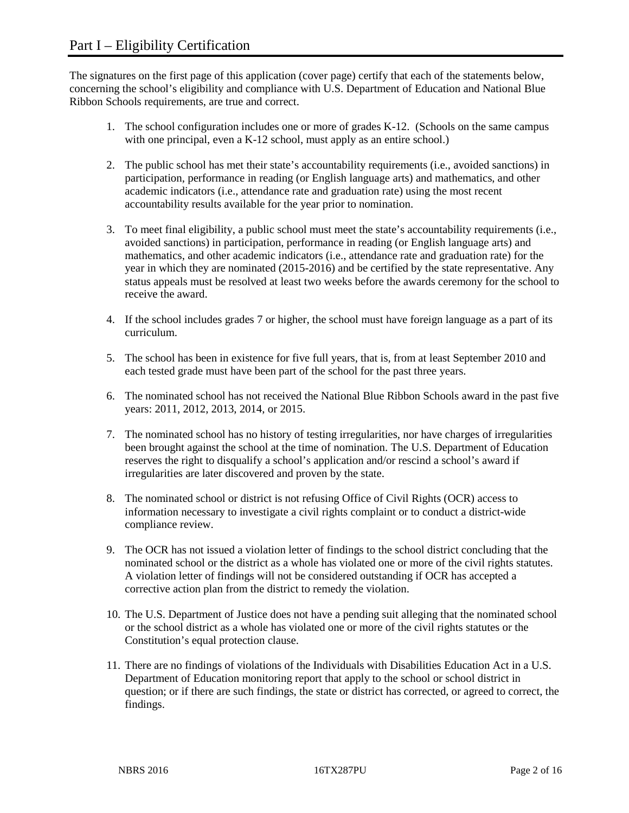The signatures on the first page of this application (cover page) certify that each of the statements below, concerning the school's eligibility and compliance with U.S. Department of Education and National Blue Ribbon Schools requirements, are true and correct.

- 1. The school configuration includes one or more of grades K-12. (Schools on the same campus with one principal, even a K-12 school, must apply as an entire school.)
- 2. The public school has met their state's accountability requirements (i.e., avoided sanctions) in participation, performance in reading (or English language arts) and mathematics, and other academic indicators (i.e., attendance rate and graduation rate) using the most recent accountability results available for the year prior to nomination.
- 3. To meet final eligibility, a public school must meet the state's accountability requirements (i.e., avoided sanctions) in participation, performance in reading (or English language arts) and mathematics, and other academic indicators (i.e., attendance rate and graduation rate) for the year in which they are nominated (2015-2016) and be certified by the state representative. Any status appeals must be resolved at least two weeks before the awards ceremony for the school to receive the award.
- 4. If the school includes grades 7 or higher, the school must have foreign language as a part of its curriculum.
- 5. The school has been in existence for five full years, that is, from at least September 2010 and each tested grade must have been part of the school for the past three years.
- 6. The nominated school has not received the National Blue Ribbon Schools award in the past five years: 2011, 2012, 2013, 2014, or 2015.
- 7. The nominated school has no history of testing irregularities, nor have charges of irregularities been brought against the school at the time of nomination. The U.S. Department of Education reserves the right to disqualify a school's application and/or rescind a school's award if irregularities are later discovered and proven by the state.
- 8. The nominated school or district is not refusing Office of Civil Rights (OCR) access to information necessary to investigate a civil rights complaint or to conduct a district-wide compliance review.
- 9. The OCR has not issued a violation letter of findings to the school district concluding that the nominated school or the district as a whole has violated one or more of the civil rights statutes. A violation letter of findings will not be considered outstanding if OCR has accepted a corrective action plan from the district to remedy the violation.
- 10. The U.S. Department of Justice does not have a pending suit alleging that the nominated school or the school district as a whole has violated one or more of the civil rights statutes or the Constitution's equal protection clause.
- 11. There are no findings of violations of the Individuals with Disabilities Education Act in a U.S. Department of Education monitoring report that apply to the school or school district in question; or if there are such findings, the state or district has corrected, or agreed to correct, the findings.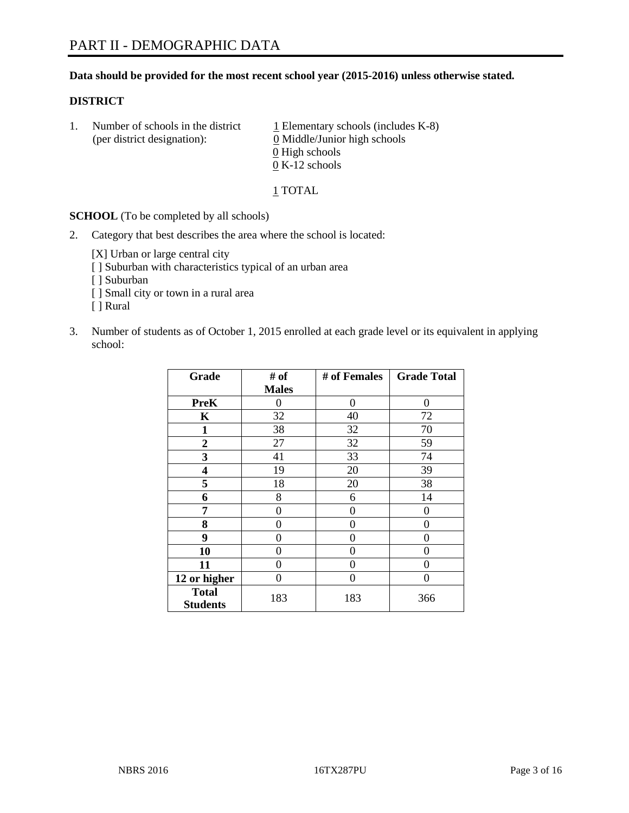### **Data should be provided for the most recent school year (2015-2016) unless otherwise stated.**

### **DISTRICT**

1. Number of schools in the district  $1$  Elementary schools (includes K-8) (per district designation): 0 Middle/Junior high schools 0 High schools 0 K-12 schools

### 1 TOTAL

**SCHOOL** (To be completed by all schools)

2. Category that best describes the area where the school is located:

[X] Urban or large central city [ ] Suburban with characteristics typical of an urban area [ ] Suburban [ ] Small city or town in a rural area [ ] Rural

3. Number of students as of October 1, 2015 enrolled at each grade level or its equivalent in applying school:

| Grade                           | # of         | # of Females | <b>Grade Total</b> |
|---------------------------------|--------------|--------------|--------------------|
|                                 | <b>Males</b> |              |                    |
| <b>PreK</b>                     | 0            | 0            | 0                  |
| K                               | 32           | 40           | 72                 |
| 1                               | 38           | 32           | 70                 |
| $\overline{2}$                  | 27           | 32           | 59                 |
| 3                               | 41           | 33           | 74                 |
| 4                               | 19           | 20           | 39                 |
| 5                               | 18           | 20           | 38                 |
| 6                               | 8            | 6            | 14                 |
| 7                               | 0            | 0            | 0                  |
| 8                               | 0            | 0            | 0                  |
| 9                               | 0            | 0            | 0                  |
| 10                              | 0            | 0            | $\theta$           |
| 11                              | 0            | 0            | 0                  |
| 12 or higher                    | 0            | 0            | 0                  |
| <b>Total</b><br><b>Students</b> | 183          | 183          | 366                |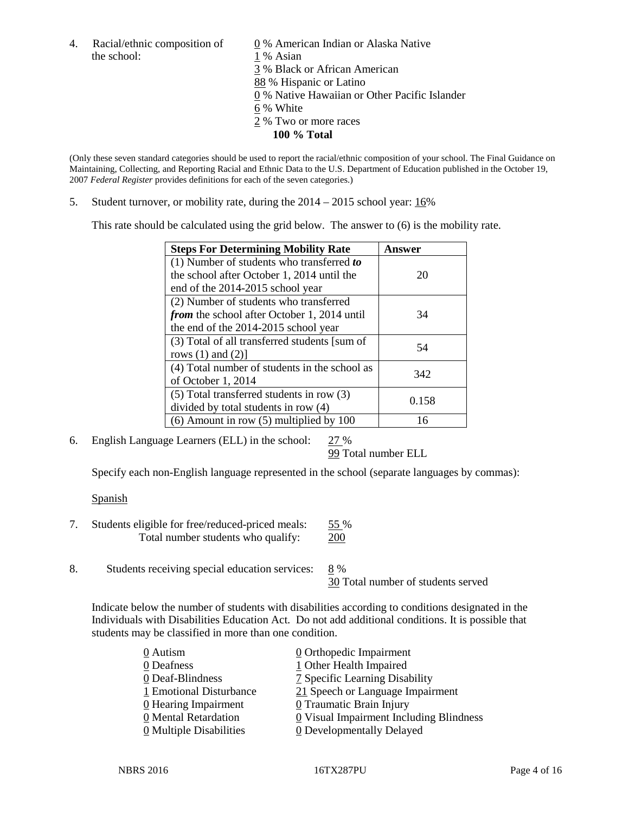the school: 1 % Asian

4. Racial/ethnic composition of  $\qquad \qquad \underline{0}$  % American Indian or Alaska Native 3 % Black or African American 88 % Hispanic or Latino 0 % Native Hawaiian or Other Pacific Islander 6 % White 2 % Two or more races **100 % Total**

(Only these seven standard categories should be used to report the racial/ethnic composition of your school. The Final Guidance on Maintaining, Collecting, and Reporting Racial and Ethnic Data to the U.S. Department of Education published in the October 19, 2007 *Federal Register* provides definitions for each of the seven categories.)

5. Student turnover, or mobility rate, during the  $2014 - 2015$  school year:  $16\%$ 

This rate should be calculated using the grid below. The answer to (6) is the mobility rate.

| <b>Steps For Determining Mobility Rate</b>         | Answer |  |
|----------------------------------------------------|--------|--|
| (1) Number of students who transferred to          |        |  |
| the school after October 1, 2014 until the         | 20     |  |
| end of the 2014-2015 school year                   |        |  |
| (2) Number of students who transferred             |        |  |
| <i>from</i> the school after October 1, 2014 until | 34     |  |
| the end of the 2014-2015 school year               |        |  |
| (3) Total of all transferred students [sum of      | 54     |  |
| rows $(1)$ and $(2)$ ]                             |        |  |
| (4) Total number of students in the school as      | 342    |  |
| of October 1, 2014                                 |        |  |
| (5) Total transferred students in row (3)          | 0.158  |  |
| divided by total students in row (4)               |        |  |
| $(6)$ Amount in row $(5)$ multiplied by 100        | 16     |  |

6. English Language Learners (ELL) in the school: 27 %

99 Total number ELL

Specify each non-English language represented in the school (separate languages by commas):

### Spanish

- 7. Students eligible for free/reduced-priced meals: 55 % Total number students who qualify: 200
- 8. Students receiving special education services: 8 %

30 Total number of students served

Indicate below the number of students with disabilities according to conditions designated in the Individuals with Disabilities Education Act. Do not add additional conditions. It is possible that students may be classified in more than one condition.

| 0 Autism                              | $\underline{0}$ Orthopedic Impairment     |
|---------------------------------------|-------------------------------------------|
| 0 Deafness                            | 1 Other Health Impaired                   |
| 0 Deaf-Blindness                      | <b>7</b> Specific Learning Disability     |
| 1 Emotional Disturbance               | 21 Speech or Language Impairment          |
| 0 Hearing Impairment                  | 0 Traumatic Brain Injury                  |
| 0 Mental Retardation                  | $Q$ Visual Impairment Including Blindness |
| $\underline{0}$ Multiple Disabilities | <b>0</b> Developmentally Delayed          |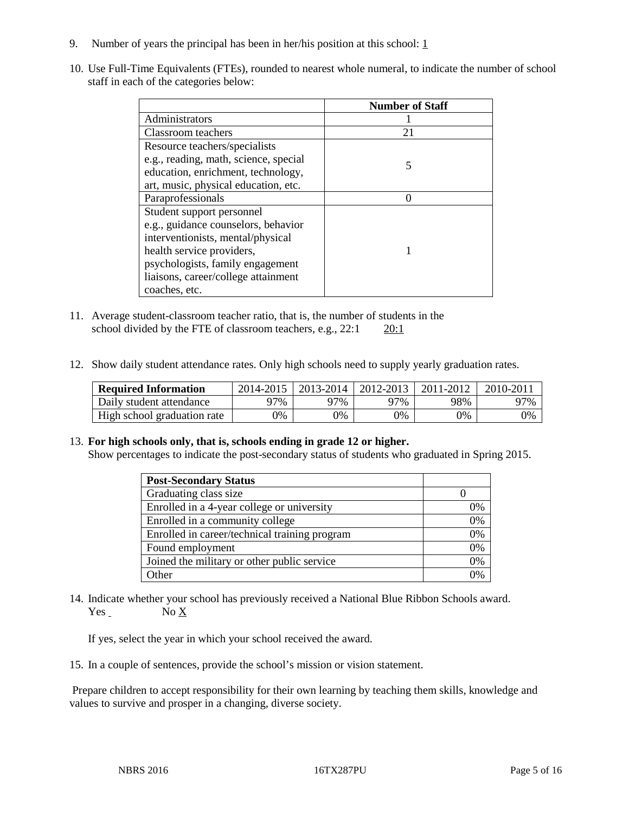- 9. Number of years the principal has been in her/his position at this school:  $1 \overline{1}$
- 10. Use Full-Time Equivalents (FTEs), rounded to nearest whole numeral, to indicate the number of school staff in each of the categories below:

|                                       | <b>Number of Staff</b> |
|---------------------------------------|------------------------|
| Administrators                        |                        |
| Classroom teachers                    | 21                     |
| Resource teachers/specialists         |                        |
| e.g., reading, math, science, special | 5                      |
| education, enrichment, technology,    |                        |
| art, music, physical education, etc.  |                        |
| Paraprofessionals                     |                        |
| Student support personnel             |                        |
| e.g., guidance counselors, behavior   |                        |
| interventionists, mental/physical     |                        |
| health service providers,             |                        |
| psychologists, family engagement      |                        |
| liaisons, career/college attainment   |                        |
| coaches, etc.                         |                        |

- 11. Average student-classroom teacher ratio, that is, the number of students in the school divided by the FTE of classroom teachers, e.g.,  $22:1$   $20:1$
- 12. Show daily student attendance rates. Only high schools need to supply yearly graduation rates.

| <b>Required Information</b> | 2014-2015 | 2013-2014 l | 2012-2013 | 2011-2012 | 2010-2011 |
|-----------------------------|-----------|-------------|-----------|-----------|-----------|
| Daily student attendance    | 97%       | 97%         | 97%       | 98%       | 97%       |
| High school graduation rate | 0%        | 0%          | 0%        | 9%        | 0%        |

#### 13. **For high schools only, that is, schools ending in grade 12 or higher.**

Show percentages to indicate the post-secondary status of students who graduated in Spring 2015.

| <b>Post-Secondary Status</b>                  |                |
|-----------------------------------------------|----------------|
| Graduating class size                         |                |
| Enrolled in a 4-year college or university    | 0%             |
| Enrolled in a community college               | 0%             |
| Enrolled in career/technical training program | 0%             |
| Found employment                              | 0%             |
| Joined the military or other public service   | 0%             |
| Other                                         | $\frac{10}{4}$ |

14. Indicate whether your school has previously received a National Blue Ribbon Schools award. Yes No X

If yes, select the year in which your school received the award.

15. In a couple of sentences, provide the school's mission or vision statement.

Prepare children to accept responsibility for their own learning by teaching them skills, knowledge and values to survive and prosper in a changing, diverse society.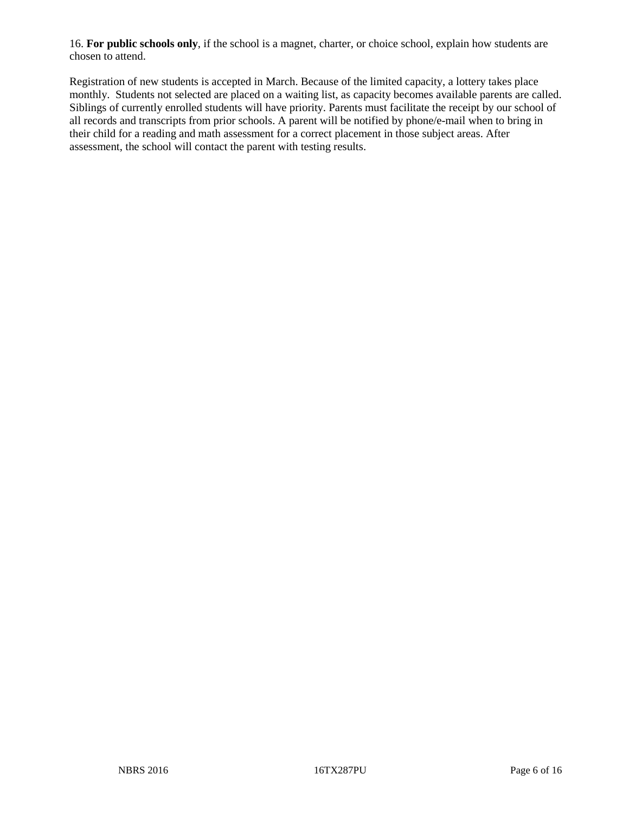16. **For public schools only**, if the school is a magnet, charter, or choice school, explain how students are chosen to attend.

Registration of new students is accepted in March. Because of the limited capacity, a lottery takes place monthly. Students not selected are placed on a waiting list, as capacity becomes available parents are called. Siblings of currently enrolled students will have priority. Parents must facilitate the receipt by our school of all records and transcripts from prior schools. A parent will be notified by phone/e-mail when to bring in their child for a reading and math assessment for a correct placement in those subject areas. After assessment, the school will contact the parent with testing results.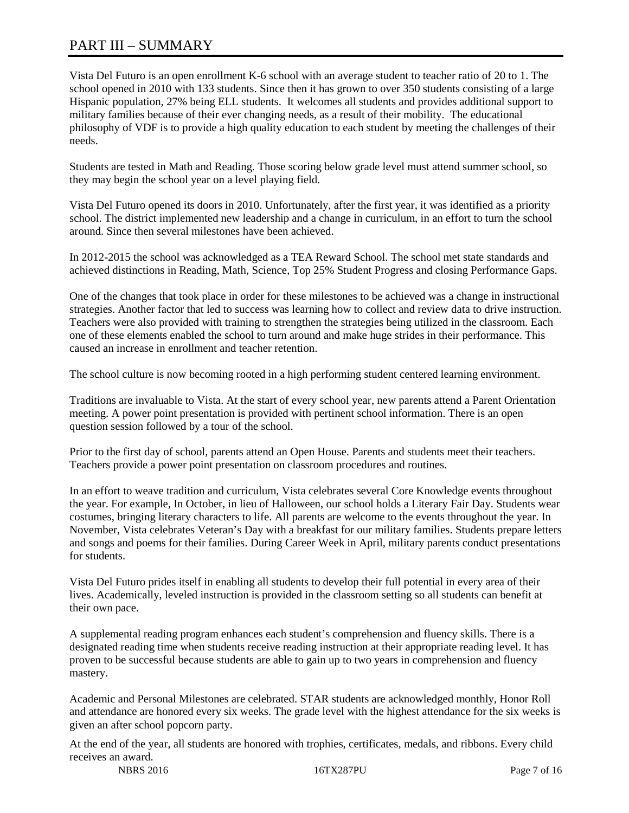# PART III – SUMMARY

Vista Del Futuro is an open enrollment K-6 school with an average student to teacher ratio of 20 to 1. The school opened in 2010 with 133 students. Since then it has grown to over 350 students consisting of a large Hispanic population, 27% being ELL students. It welcomes all students and provides additional support to military families because of their ever changing needs, as a result of their mobility. The educational philosophy of VDF is to provide a high quality education to each student by meeting the challenges of their needs.

Students are tested in Math and Reading. Those scoring below grade level must attend summer school, so they may begin the school year on a level playing field.

Vista Del Futuro opened its doors in 2010. Unfortunately, after the first year, it was identified as a priority school. The district implemented new leadership and a change in curriculum, in an effort to turn the school around. Since then several milestones have been achieved.

In 2012-2015 the school was acknowledged as a TEA Reward School. The school met state standards and achieved distinctions in Reading, Math, Science, Top 25% Student Progress and closing Performance Gaps.

One of the changes that took place in order for these milestones to be achieved was a change in instructional strategies. Another factor that led to success was learning how to collect and review data to drive instruction. Teachers were also provided with training to strengthen the strategies being utilized in the classroom. Each one of these elements enabled the school to turn around and make huge strides in their performance. This caused an increase in enrollment and teacher retention.

The school culture is now becoming rooted in a high performing student centered learning environment.

Traditions are invaluable to Vista. At the start of every school year, new parents attend a Parent Orientation meeting. A power point presentation is provided with pertinent school information. There is an open question session followed by a tour of the school.

Prior to the first day of school, parents attend an Open House. Parents and students meet their teachers. Teachers provide a power point presentation on classroom procedures and routines.

In an effort to weave tradition and curriculum, Vista celebrates several Core Knowledge events throughout the year. For example, In October, in lieu of Halloween, our school holds a Literary Fair Day. Students wear costumes, bringing literary characters to life. All parents are welcome to the events throughout the year. In November, Vista celebrates Veteran's Day with a breakfast for our military families. Students prepare letters and songs and poems for their families. During Career Week in April, military parents conduct presentations for students.

Vista Del Futuro prides itself in enabling all students to develop their full potential in every area of their lives. Academically, leveled instruction is provided in the classroom setting so all students can benefit at their own pace.

A supplemental reading program enhances each student's comprehension and fluency skills. There is a designated reading time when students receive reading instruction at their appropriate reading level. It has proven to be successful because students are able to gain up to two years in comprehension and fluency mastery.

Academic and Personal Milestones are celebrated. STAR students are acknowledged monthly, Honor Roll and attendance are honored every six weeks. The grade level with the highest attendance for the six weeks is given an after school popcorn party.

At the end of the year, all students are honored with trophies, certificates, medals, and ribbons. Every child receives an award.

NBRS 2016 **16TX287PU** Page 7 of 16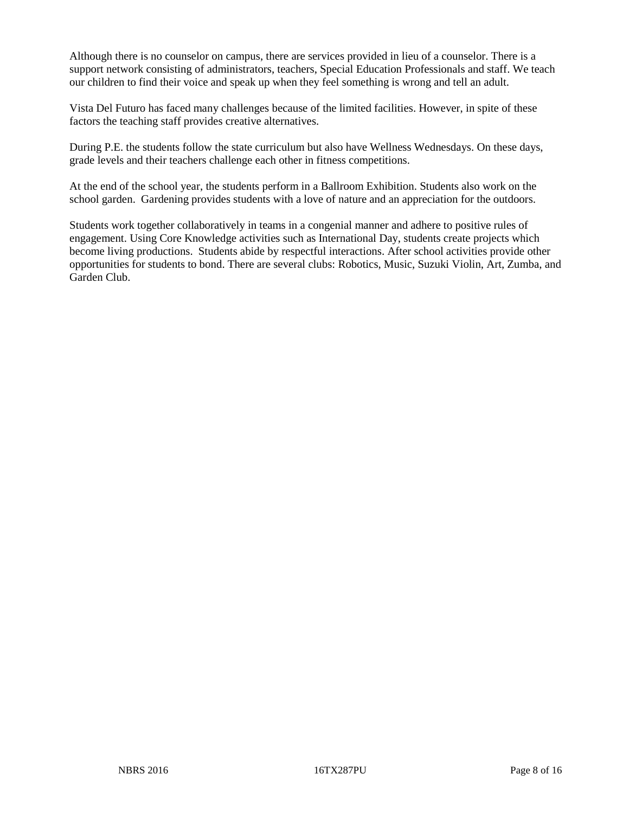Although there is no counselor on campus, there are services provided in lieu of a counselor. There is a support network consisting of administrators, teachers, Special Education Professionals and staff. We teach our children to find their voice and speak up when they feel something is wrong and tell an adult.

Vista Del Futuro has faced many challenges because of the limited facilities. However, in spite of these factors the teaching staff provides creative alternatives.

During P.E. the students follow the state curriculum but also have Wellness Wednesdays. On these days, grade levels and their teachers challenge each other in fitness competitions.

At the end of the school year, the students perform in a Ballroom Exhibition. Students also work on the school garden. Gardening provides students with a love of nature and an appreciation for the outdoors.

Students work together collaboratively in teams in a congenial manner and adhere to positive rules of engagement. Using Core Knowledge activities such as International Day, students create projects which become living productions. Students abide by respectful interactions. After school activities provide other opportunities for students to bond. There are several clubs: Robotics, Music, Suzuki Violin, Art, Zumba, and Garden Club.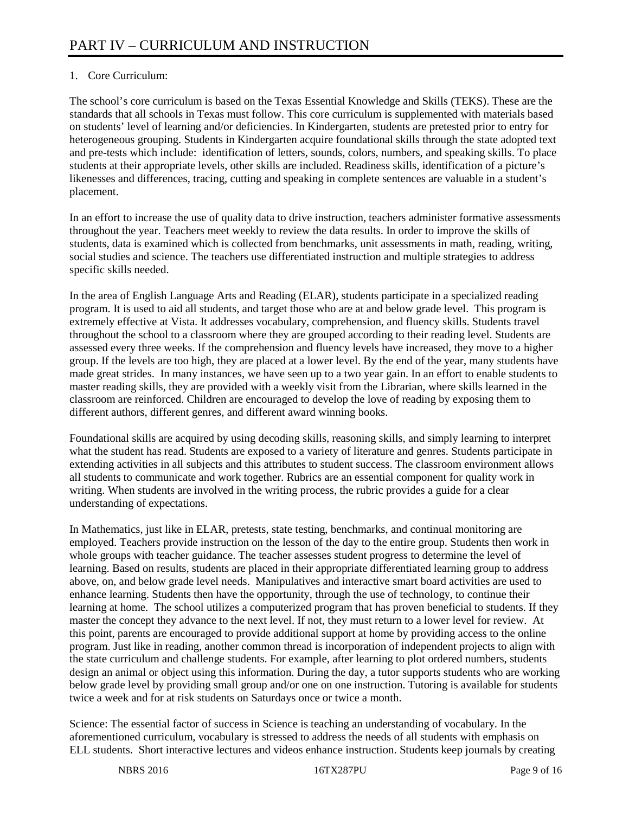# 1. Core Curriculum:

The school's core curriculum is based on the Texas Essential Knowledge and Skills (TEKS). These are the standards that all schools in Texas must follow. This core curriculum is supplemented with materials based on students' level of learning and/or deficiencies. In Kindergarten, students are pretested prior to entry for heterogeneous grouping. Students in Kindergarten acquire foundational skills through the state adopted text and pre-tests which include: identification of letters, sounds, colors, numbers, and speaking skills. To place students at their appropriate levels, other skills are included. Readiness skills, identification of a picture's likenesses and differences, tracing, cutting and speaking in complete sentences are valuable in a student's placement.

In an effort to increase the use of quality data to drive instruction, teachers administer formative assessments throughout the year. Teachers meet weekly to review the data results. In order to improve the skills of students, data is examined which is collected from benchmarks, unit assessments in math, reading, writing, social studies and science. The teachers use differentiated instruction and multiple strategies to address specific skills needed.

In the area of English Language Arts and Reading (ELAR), students participate in a specialized reading program. It is used to aid all students, and target those who are at and below grade level. This program is extremely effective at Vista. It addresses vocabulary, comprehension, and fluency skills. Students travel throughout the school to a classroom where they are grouped according to their reading level. Students are assessed every three weeks. If the comprehension and fluency levels have increased, they move to a higher group. If the levels are too high, they are placed at a lower level. By the end of the year, many students have made great strides. In many instances, we have seen up to a two year gain. In an effort to enable students to master reading skills, they are provided with a weekly visit from the Librarian, where skills learned in the classroom are reinforced. Children are encouraged to develop the love of reading by exposing them to different authors, different genres, and different award winning books.

Foundational skills are acquired by using decoding skills, reasoning skills, and simply learning to interpret what the student has read. Students are exposed to a variety of literature and genres. Students participate in extending activities in all subjects and this attributes to student success. The classroom environment allows all students to communicate and work together. Rubrics are an essential component for quality work in writing. When students are involved in the writing process, the rubric provides a guide for a clear understanding of expectations.

In Mathematics, just like in ELAR, pretests, state testing, benchmarks, and continual monitoring are employed. Teachers provide instruction on the lesson of the day to the entire group. Students then work in whole groups with teacher guidance. The teacher assesses student progress to determine the level of learning. Based on results, students are placed in their appropriate differentiated learning group to address above, on, and below grade level needs. Manipulatives and interactive smart board activities are used to enhance learning. Students then have the opportunity, through the use of technology, to continue their learning at home. The school utilizes a computerized program that has proven beneficial to students. If they master the concept they advance to the next level. If not, they must return to a lower level for review. At this point, parents are encouraged to provide additional support at home by providing access to the online program. Just like in reading, another common thread is incorporation of independent projects to align with the state curriculum and challenge students. For example, after learning to plot ordered numbers, students design an animal or object using this information. During the day, a tutor supports students who are working below grade level by providing small group and/or one on one instruction. Tutoring is available for students twice a week and for at risk students on Saturdays once or twice a month.

Science: The essential factor of success in Science is teaching an understanding of vocabulary. In the aforementioned curriculum, vocabulary is stressed to address the needs of all students with emphasis on ELL students. Short interactive lectures and videos enhance instruction. Students keep journals by creating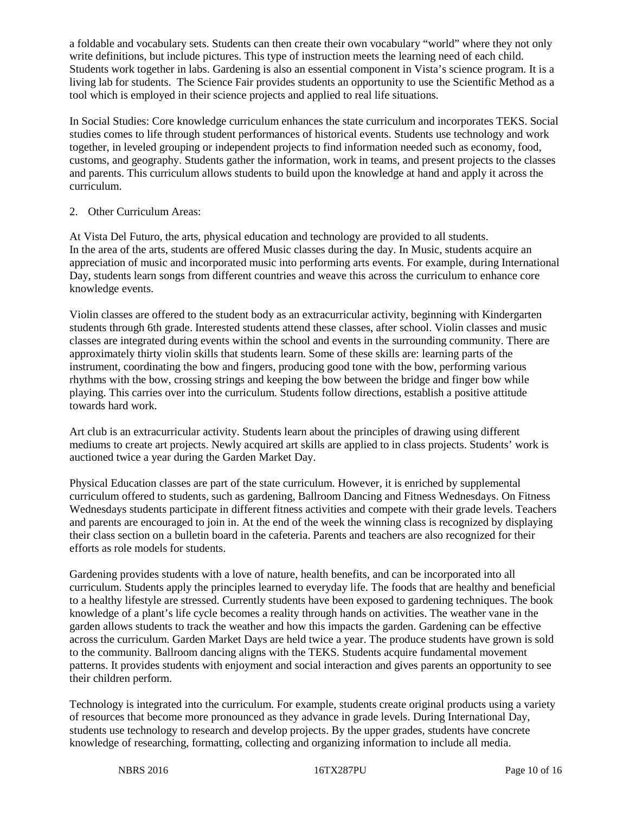a foldable and vocabulary sets. Students can then create their own vocabulary "world" where they not only write definitions, but include pictures. This type of instruction meets the learning need of each child. Students work together in labs. Gardening is also an essential component in Vista's science program. It is a living lab for students. The Science Fair provides students an opportunity to use the Scientific Method as a tool which is employed in their science projects and applied to real life situations.

In Social Studies: Core knowledge curriculum enhances the state curriculum and incorporates TEKS. Social studies comes to life through student performances of historical events. Students use technology and work together, in leveled grouping or independent projects to find information needed such as economy, food, customs, and geography. Students gather the information, work in teams, and present projects to the classes and parents. This curriculum allows students to build upon the knowledge at hand and apply it across the curriculum.

## 2. Other Curriculum Areas:

At Vista Del Futuro, the arts, physical education and technology are provided to all students. In the area of the arts, students are offered Music classes during the day. In Music, students acquire an appreciation of music and incorporated music into performing arts events. For example, during International Day, students learn songs from different countries and weave this across the curriculum to enhance core knowledge events.

Violin classes are offered to the student body as an extracurricular activity, beginning with Kindergarten students through 6th grade. Interested students attend these classes, after school. Violin classes and music classes are integrated during events within the school and events in the surrounding community. There are approximately thirty violin skills that students learn. Some of these skills are: learning parts of the instrument, coordinating the bow and fingers, producing good tone with the bow, performing various rhythms with the bow, crossing strings and keeping the bow between the bridge and finger bow while playing. This carries over into the curriculum. Students follow directions, establish a positive attitude towards hard work.

Art club is an extracurricular activity. Students learn about the principles of drawing using different mediums to create art projects. Newly acquired art skills are applied to in class projects. Students' work is auctioned twice a year during the Garden Market Day.

Physical Education classes are part of the state curriculum. However, it is enriched by supplemental curriculum offered to students, such as gardening, Ballroom Dancing and Fitness Wednesdays. On Fitness Wednesdays students participate in different fitness activities and compete with their grade levels. Teachers and parents are encouraged to join in. At the end of the week the winning class is recognized by displaying their class section on a bulletin board in the cafeteria. Parents and teachers are also recognized for their efforts as role models for students.

Gardening provides students with a love of nature, health benefits, and can be incorporated into all curriculum. Students apply the principles learned to everyday life. The foods that are healthy and beneficial to a healthy lifestyle are stressed. Currently students have been exposed to gardening techniques. The book knowledge of a plant's life cycle becomes a reality through hands on activities. The weather vane in the garden allows students to track the weather and how this impacts the garden. Gardening can be effective across the curriculum. Garden Market Days are held twice a year. The produce students have grown is sold to the community. Ballroom dancing aligns with the TEKS. Students acquire fundamental movement patterns. It provides students with enjoyment and social interaction and gives parents an opportunity to see their children perform.

Technology is integrated into the curriculum. For example, students create original products using a variety of resources that become more pronounced as they advance in grade levels. During International Day, students use technology to research and develop projects. By the upper grades, students have concrete knowledge of researching, formatting, collecting and organizing information to include all media.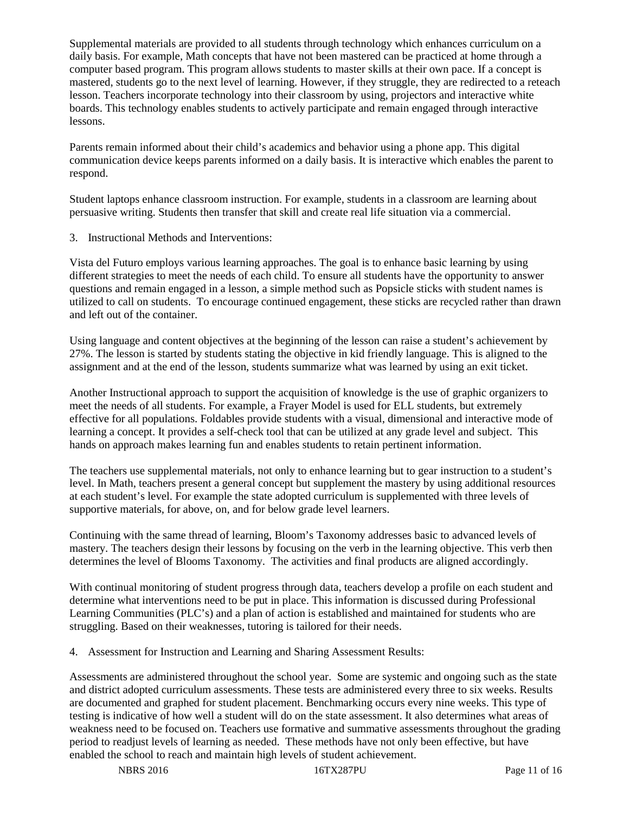Supplemental materials are provided to all students through technology which enhances curriculum on a daily basis. For example, Math concepts that have not been mastered can be practiced at home through a computer based program. This program allows students to master skills at their own pace. If a concept is mastered, students go to the next level of learning. However, if they struggle, they are redirected to a reteach lesson. Teachers incorporate technology into their classroom by using, projectors and interactive white boards. This technology enables students to actively participate and remain engaged through interactive lessons.

Parents remain informed about their child's academics and behavior using a phone app. This digital communication device keeps parents informed on a daily basis. It is interactive which enables the parent to respond.

Student laptops enhance classroom instruction. For example, students in a classroom are learning about persuasive writing. Students then transfer that skill and create real life situation via a commercial.

3. Instructional Methods and Interventions:

Vista del Futuro employs various learning approaches. The goal is to enhance basic learning by using different strategies to meet the needs of each child. To ensure all students have the opportunity to answer questions and remain engaged in a lesson, a simple method such as Popsicle sticks with student names is utilized to call on students. To encourage continued engagement, these sticks are recycled rather than drawn and left out of the container.

Using language and content objectives at the beginning of the lesson can raise a student's achievement by 27%. The lesson is started by students stating the objective in kid friendly language. This is aligned to the assignment and at the end of the lesson, students summarize what was learned by using an exit ticket.

Another Instructional approach to support the acquisition of knowledge is the use of graphic organizers to meet the needs of all students. For example, a Frayer Model is used for ELL students, but extremely effective for all populations. Foldables provide students with a visual, dimensional and interactive mode of learning a concept. It provides a self-check tool that can be utilized at any grade level and subject. This hands on approach makes learning fun and enables students to retain pertinent information.

The teachers use supplemental materials, not only to enhance learning but to gear instruction to a student's level. In Math, teachers present a general concept but supplement the mastery by using additional resources at each student's level. For example the state adopted curriculum is supplemented with three levels of supportive materials, for above, on, and for below grade level learners.

Continuing with the same thread of learning, Bloom's Taxonomy addresses basic to advanced levels of mastery. The teachers design their lessons by focusing on the verb in the learning objective. This verb then determines the level of Blooms Taxonomy. The activities and final products are aligned accordingly.

With continual monitoring of student progress through data, teachers develop a profile on each student and determine what interventions need to be put in place. This information is discussed during Professional Learning Communities (PLC's) and a plan of action is established and maintained for students who are struggling. Based on their weaknesses, tutoring is tailored for their needs.

4. Assessment for Instruction and Learning and Sharing Assessment Results:

Assessments are administered throughout the school year. Some are systemic and ongoing such as the state and district adopted curriculum assessments. These tests are administered every three to six weeks. Results are documented and graphed for student placement. Benchmarking occurs every nine weeks. This type of testing is indicative of how well a student will do on the state assessment. It also determines what areas of weakness need to be focused on. Teachers use formative and summative assessments throughout the grading period to readjust levels of learning as needed. These methods have not only been effective, but have enabled the school to reach and maintain high levels of student achievement.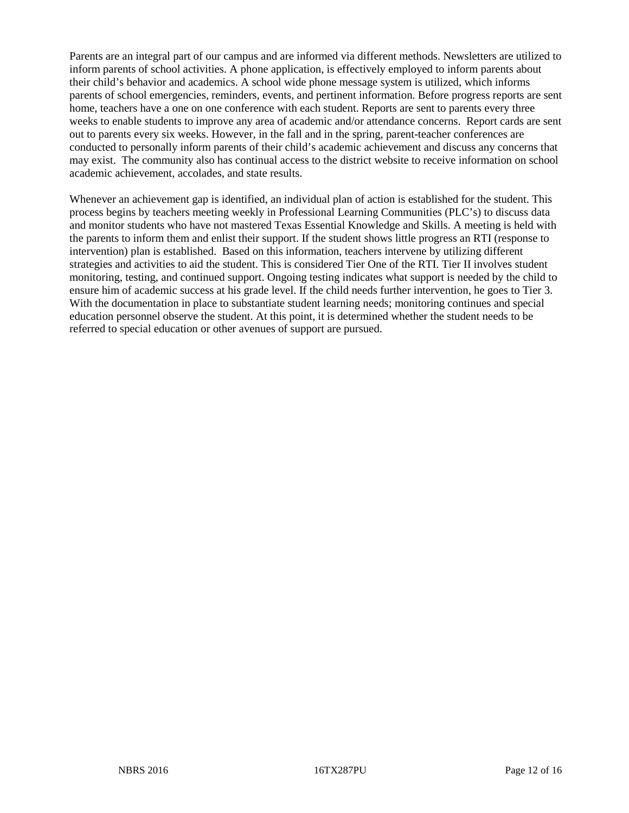Parents are an integral part of our campus and are informed via different methods. Newsletters are utilized to inform parents of school activities. A phone application, is effectively employed to inform parents about their child's behavior and academics. A school wide phone message system is utilized, which informs parents of school emergencies, reminders, events, and pertinent information. Before progress reports are sent home, teachers have a one on one conference with each student. Reports are sent to parents every three weeks to enable students to improve any area of academic and/or attendance concerns. Report cards are sent out to parents every six weeks. However, in the fall and in the spring, parent-teacher conferences are conducted to personally inform parents of their child's academic achievement and discuss any concerns that may exist. The community also has continual access to the district website to receive information on school academic achievement, accolades, and state results.

Whenever an achievement gap is identified, an individual plan of action is established for the student. This process begins by teachers meeting weekly in Professional Learning Communities (PLC's) to discuss data and monitor students who have not mastered Texas Essential Knowledge and Skills. A meeting is held with the parents to inform them and enlist their support. If the student shows little progress an RTI (response to intervention) plan is established. Based on this information, teachers intervene by utilizing different strategies and activities to aid the student. This is considered Tier One of the RTI. Tier II involves student monitoring, testing, and continued support. Ongoing testing indicates what support is needed by the child to ensure him of academic success at his grade level. If the child needs further intervention, he goes to Tier 3. With the documentation in place to substantiate student learning needs; monitoring continues and special education personnel observe the student. At this point, it is determined whether the student needs to be referred to special education or other avenues of support are pursued.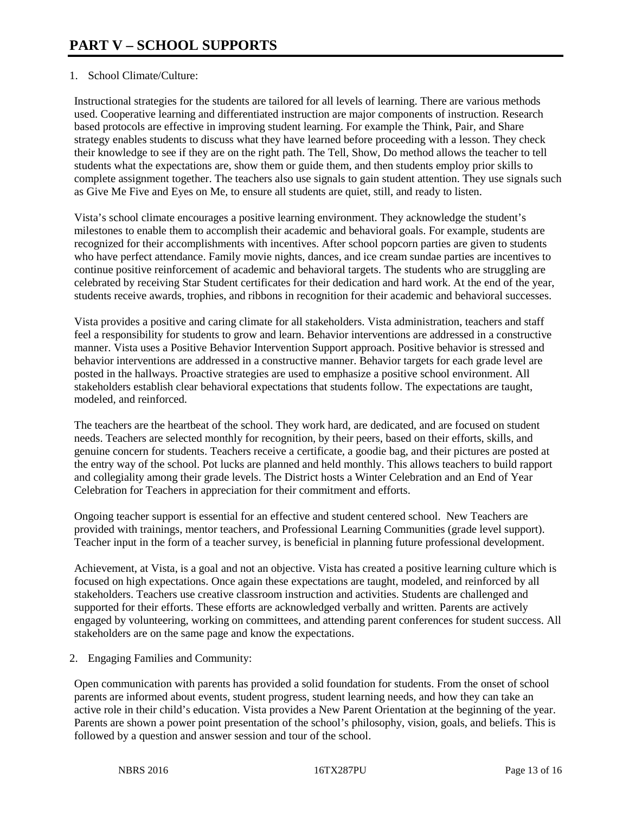### 1. School Climate/Culture:

Instructional strategies for the students are tailored for all levels of learning. There are various methods used. Cooperative learning and differentiated instruction are major components of instruction. Research based protocols are effective in improving student learning. For example the Think, Pair, and Share strategy enables students to discuss what they have learned before proceeding with a lesson. They check their knowledge to see if they are on the right path. The Tell, Show, Do method allows the teacher to tell students what the expectations are, show them or guide them, and then students employ prior skills to complete assignment together. The teachers also use signals to gain student attention. They use signals such as Give Me Five and Eyes on Me, to ensure all students are quiet, still, and ready to listen.

Vista's school climate encourages a positive learning environment. They acknowledge the student's milestones to enable them to accomplish their academic and behavioral goals. For example, students are recognized for their accomplishments with incentives. After school popcorn parties are given to students who have perfect attendance. Family movie nights, dances, and ice cream sundae parties are incentives to continue positive reinforcement of academic and behavioral targets. The students who are struggling are celebrated by receiving Star Student certificates for their dedication and hard work. At the end of the year, students receive awards, trophies, and ribbons in recognition for their academic and behavioral successes.

Vista provides a positive and caring climate for all stakeholders. Vista administration, teachers and staff feel a responsibility for students to grow and learn. Behavior interventions are addressed in a constructive manner. Vista uses a Positive Behavior Intervention Support approach. Positive behavior is stressed and behavior interventions are addressed in a constructive manner. Behavior targets for each grade level are posted in the hallways. Proactive strategies are used to emphasize a positive school environment. All stakeholders establish clear behavioral expectations that students follow. The expectations are taught, modeled, and reinforced.

The teachers are the heartbeat of the school. They work hard, are dedicated, and are focused on student needs. Teachers are selected monthly for recognition, by their peers, based on their efforts, skills, and genuine concern for students. Teachers receive a certificate, a goodie bag, and their pictures are posted at the entry way of the school. Pot lucks are planned and held monthly. This allows teachers to build rapport and collegiality among their grade levels. The District hosts a Winter Celebration and an End of Year Celebration for Teachers in appreciation for their commitment and efforts.

Ongoing teacher support is essential for an effective and student centered school. New Teachers are provided with trainings, mentor teachers, and Professional Learning Communities (grade level support). Teacher input in the form of a teacher survey, is beneficial in planning future professional development.

Achievement, at Vista, is a goal and not an objective. Vista has created a positive learning culture which is focused on high expectations. Once again these expectations are taught, modeled, and reinforced by all stakeholders. Teachers use creative classroom instruction and activities. Students are challenged and supported for their efforts. These efforts are acknowledged verbally and written. Parents are actively engaged by volunteering, working on committees, and attending parent conferences for student success. All stakeholders are on the same page and know the expectations.

2. Engaging Families and Community:

Open communication with parents has provided a solid foundation for students. From the onset of school parents are informed about events, student progress, student learning needs, and how they can take an active role in their child's education. Vista provides a New Parent Orientation at the beginning of the year. Parents are shown a power point presentation of the school's philosophy, vision, goals, and beliefs. This is followed by a question and answer session and tour of the school.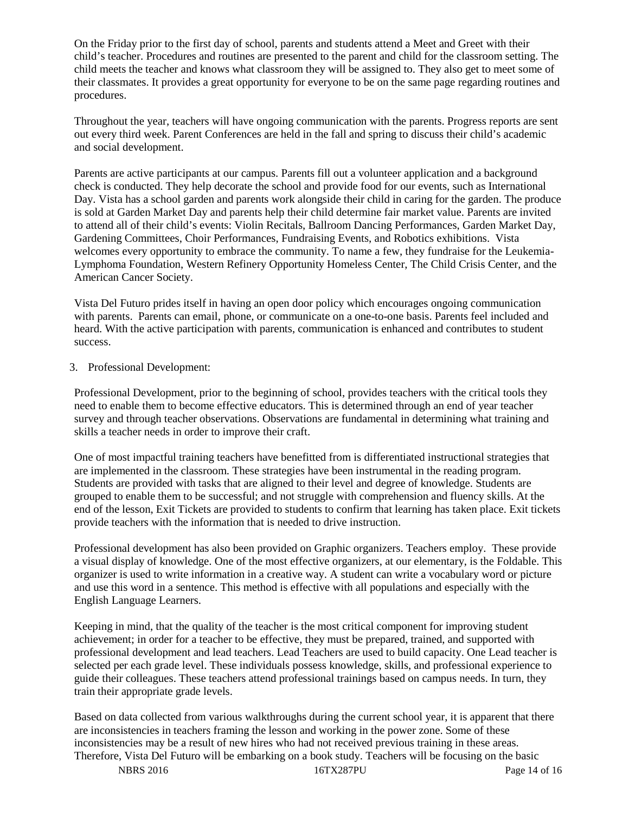On the Friday prior to the first day of school, parents and students attend a Meet and Greet with their child's teacher. Procedures and routines are presented to the parent and child for the classroom setting. The child meets the teacher and knows what classroom they will be assigned to. They also get to meet some of their classmates. It provides a great opportunity for everyone to be on the same page regarding routines and procedures.

Throughout the year, teachers will have ongoing communication with the parents. Progress reports are sent out every third week. Parent Conferences are held in the fall and spring to discuss their child's academic and social development.

Parents are active participants at our campus. Parents fill out a volunteer application and a background check is conducted. They help decorate the school and provide food for our events, such as International Day. Vista has a school garden and parents work alongside their child in caring for the garden. The produce is sold at Garden Market Day and parents help their child determine fair market value. Parents are invited to attend all of their child's events: Violin Recitals, Ballroom Dancing Performances, Garden Market Day, Gardening Committees, Choir Performances, Fundraising Events, and Robotics exhibitions. Vista welcomes every opportunity to embrace the community. To name a few, they fundraise for the Leukemia-Lymphoma Foundation, Western Refinery Opportunity Homeless Center, The Child Crisis Center, and the American Cancer Society.

Vista Del Futuro prides itself in having an open door policy which encourages ongoing communication with parents. Parents can email, phone, or communicate on a one-to-one basis. Parents feel included and heard. With the active participation with parents, communication is enhanced and contributes to student success.

### 3. Professional Development:

Professional Development, prior to the beginning of school, provides teachers with the critical tools they need to enable them to become effective educators. This is determined through an end of year teacher survey and through teacher observations. Observations are fundamental in determining what training and skills a teacher needs in order to improve their craft.

One of most impactful training teachers have benefitted from is differentiated instructional strategies that are implemented in the classroom. These strategies have been instrumental in the reading program. Students are provided with tasks that are aligned to their level and degree of knowledge. Students are grouped to enable them to be successful; and not struggle with comprehension and fluency skills. At the end of the lesson, Exit Tickets are provided to students to confirm that learning has taken place. Exit tickets provide teachers with the information that is needed to drive instruction.

Professional development has also been provided on Graphic organizers. Teachers employ. These provide a visual display of knowledge. One of the most effective organizers, at our elementary, is the Foldable. This organizer is used to write information in a creative way. A student can write a vocabulary word or picture and use this word in a sentence. This method is effective with all populations and especially with the English Language Learners.

Keeping in mind, that the quality of the teacher is the most critical component for improving student achievement; in order for a teacher to be effective, they must be prepared, trained, and supported with professional development and lead teachers. Lead Teachers are used to build capacity. One Lead teacher is selected per each grade level. These individuals possess knowledge, skills, and professional experience to guide their colleagues. These teachers attend professional trainings based on campus needs. In turn, they train their appropriate grade levels.

Based on data collected from various walkthroughs during the current school year, it is apparent that there are inconsistencies in teachers framing the lesson and working in the power zone. Some of these inconsistencies may be a result of new hires who had not received previous training in these areas. Therefore, Vista Del Futuro will be embarking on a book study. Teachers will be focusing on the basic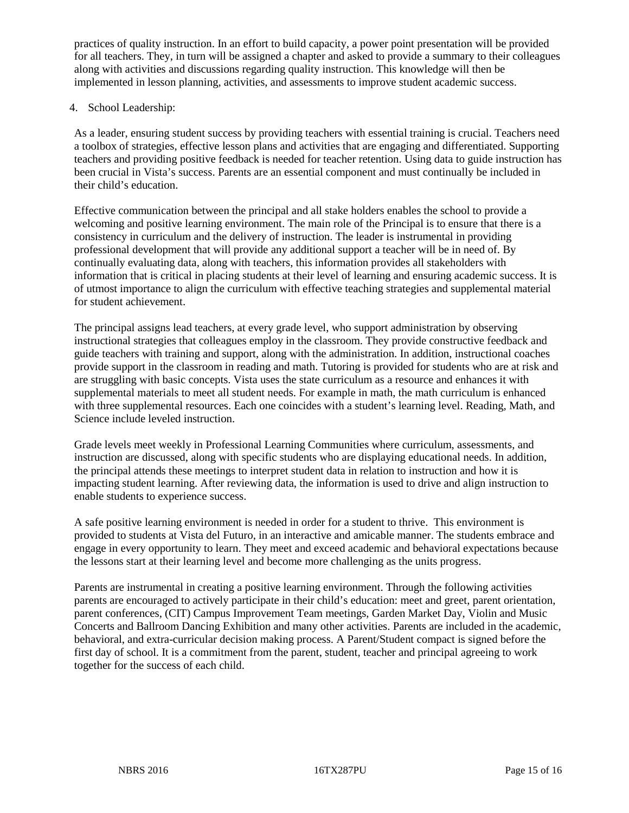practices of quality instruction. In an effort to build capacity, a power point presentation will be provided for all teachers. They, in turn will be assigned a chapter and asked to provide a summary to their colleagues along with activities and discussions regarding quality instruction. This knowledge will then be implemented in lesson planning, activities, and assessments to improve student academic success.

### 4. School Leadership:

As a leader, ensuring student success by providing teachers with essential training is crucial. Teachers need a toolbox of strategies, effective lesson plans and activities that are engaging and differentiated. Supporting teachers and providing positive feedback is needed for teacher retention. Using data to guide instruction has been crucial in Vista's success. Parents are an essential component and must continually be included in their child's education.

Effective communication between the principal and all stake holders enables the school to provide a welcoming and positive learning environment. The main role of the Principal is to ensure that there is a consistency in curriculum and the delivery of instruction. The leader is instrumental in providing professional development that will provide any additional support a teacher will be in need of. By continually evaluating data, along with teachers, this information provides all stakeholders with information that is critical in placing students at their level of learning and ensuring academic success. It is of utmost importance to align the curriculum with effective teaching strategies and supplemental material for student achievement.

The principal assigns lead teachers, at every grade level, who support administration by observing instructional strategies that colleagues employ in the classroom. They provide constructive feedback and guide teachers with training and support, along with the administration. In addition, instructional coaches provide support in the classroom in reading and math. Tutoring is provided for students who are at risk and are struggling with basic concepts. Vista uses the state curriculum as a resource and enhances it with supplemental materials to meet all student needs. For example in math, the math curriculum is enhanced with three supplemental resources. Each one coincides with a student's learning level. Reading, Math, and Science include leveled instruction.

Grade levels meet weekly in Professional Learning Communities where curriculum, assessments, and instruction are discussed, along with specific students who are displaying educational needs. In addition, the principal attends these meetings to interpret student data in relation to instruction and how it is impacting student learning. After reviewing data, the information is used to drive and align instruction to enable students to experience success.

A safe positive learning environment is needed in order for a student to thrive. This environment is provided to students at Vista del Futuro, in an interactive and amicable manner. The students embrace and engage in every opportunity to learn. They meet and exceed academic and behavioral expectations because the lessons start at their learning level and become more challenging as the units progress.

Parents are instrumental in creating a positive learning environment. Through the following activities parents are encouraged to actively participate in their child's education: meet and greet, parent orientation, parent conferences, (CIT) Campus Improvement Team meetings, Garden Market Day, Violin and Music Concerts and Ballroom Dancing Exhibition and many other activities. Parents are included in the academic, behavioral, and extra-curricular decision making process. A Parent/Student compact is signed before the first day of school. It is a commitment from the parent, student, teacher and principal agreeing to work together for the success of each child.